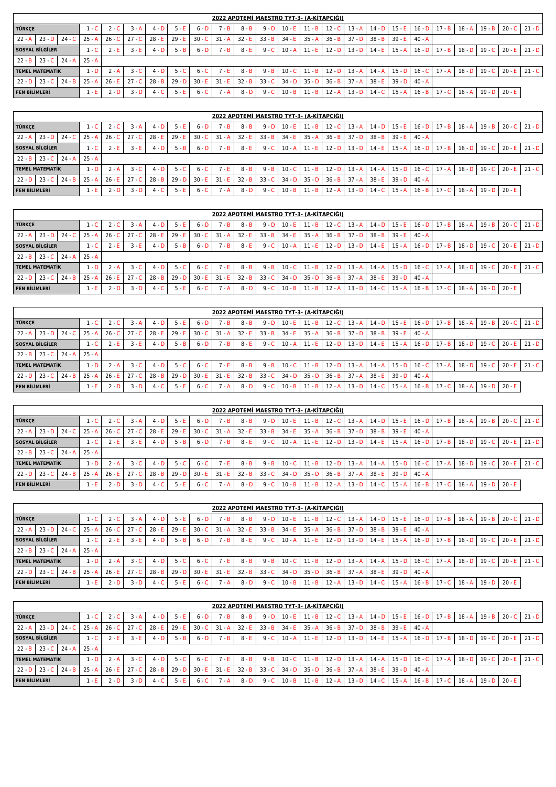|                                                                                                                                                                                                                                |          |          |                 |          |          |          |          |          |          |          |          |          |          | 2022 APOTEMI MAESTRO TYT-3- (A-KITAPCIĞI) |                   |          |                   |          |                 |          |          |                 |          |
|--------------------------------------------------------------------------------------------------------------------------------------------------------------------------------------------------------------------------------|----------|----------|-----------------|----------|----------|----------|----------|----------|----------|----------|----------|----------|----------|-------------------------------------------|-------------------|----------|-------------------|----------|-----------------|----------|----------|-----------------|----------|
| <b>TÜRKCE</b>                                                                                                                                                                                                                  |          |          | 1 - C           | 2 - C    | 3 - A    | $4 - D$  | 5 - E    | $6 - D$  | $7 - B$  | 8 - B    | $9 - D$  | $10 - E$ | $11 - B$ | $12 - C$                                  | $13 - A$          | $14 - D$ | 15 - E I          |          | $16 - D$ 17 - B | $18 - A$ |          | $19 - B$ 20 - C | 21 - D   |
| $23 - D$<br>$32 - E$<br>$30 - C$<br>$37 - D$<br>$22 - A$<br>$25 - A$<br>$26 - C$<br>$27 - C$<br>$28 - E$<br>$35 - A$<br>$36 - B$<br>$38 - B$<br>39 - E<br>$24 - C$<br>$29 - E$<br>$31 - A$<br>$33 - B$<br>$40 - A$<br>$34 - E$ |          |          |                 |          |          |          |          |          |          |          |          |          |          |                                           |                   |          |                   |          |                 |          |          |                 |          |
| <b>SOSYAL BILGILER</b>                                                                                                                                                                                                         |          |          | 1 C             | 2 - E    | 3E       | $4 - D$  | $5 - B$  | $6 - D$  | $7 - B$  | $8 - E$  | $9 - C$  | $10 - A$ | 11 - E   | $12 - D$                                  | $13 - D$          | $14 - E$ | 15 - A            | $16 - D$ | $17 - B$        | $18 - D$ | $19 - C$ | $20 - E$        | $21 - D$ |
| $22 - B$                                                                                                                                                                                                                       | $23 - C$ |          | $24 - A$ 25 - A |          |          |          |          |          |          |          |          |          |          |                                           |                   |          |                   |          |                 |          |          |                 |          |
| <b>TEMEL MATEMATIK</b>                                                                                                                                                                                                         |          |          | 1 - D           | $2 - A$  | $3-C$    | $4 - D$  | $5\,C$   | $6 - C$  | $7 - E$  | $8 - B$  | $9 - B$  | $10 - C$ | $11 - B$ |                                           | $12 - D$ $13 - A$ |          | $14 - A$ $15 - D$ |          | $16 - C$ 17 - A | $18 - D$ | $19 - C$ | $20 - E$        | 21 - C I |
| $22 - D$                                                                                                                                                                                                                       | $23 - C$ | $24 - B$ | $25 - A$        | $26 - E$ | $27 - C$ | $28 - B$ | $29 - D$ | $30 - E$ | $31 - E$ | $32 - B$ | $33 - C$ | $34 - D$ | $35 - D$ | $36 - B$                                  | $37 - A$          | $38 - E$ | $39 - D$          | $40 - A$ |                 |          |          |                 |          |
| <b>FEN BILIMLERI</b>                                                                                                                                                                                                           |          |          | ∡ E i           | 2 - D    | 3 - D    | $4 - C$  | 5 - F    | $6 - C$  | 7 - A    | $8 - D$  | $9 - C$  | $10 - B$ | $11 - B$ | $12 - A$                                  | $13 - D$          | $14 - C$ | $15 - A$          | $16 - B$ | $17 - C$        | $18 - A$ |          | $19$ D $20$ - E |          |

|                      |                        |          |          |          |          |          |                |          |          |          |          | <u> 2022 APOTEMI MAESTRO TYT-3- (A-KITAPCIĜI)</u> |          |          |          |          |                   |          |          |          |          |                 |          |
|----------------------|------------------------|----------|----------|----------|----------|----------|----------------|----------|----------|----------|----------|---------------------------------------------------|----------|----------|----------|----------|-------------------|----------|----------|----------|----------|-----------------|----------|
| <b>TÜRKCE</b>        |                        |          | 1 - C    | $2 - C$  | : - A    | $4 - D$  | 5E             | $6 - D$  | $7 - B$  | $8 - B$  | $9 - D$  | $10 - E$                                          | $11 - B$ | $12 - C$ | $13 - A$ |          | $14$ D $15$ E     | $16 - D$ | $17 - B$ | 18 - A   |          | $19 - B$ 20 - C | $21 - D$ |
| $22 - A$             | $23 - D$               | $24 - C$ | $25 - A$ | $26 - C$ | $27 - C$ | 28 - El  | $29 - E$       | $30 - C$ | $31 - A$ | $32 - E$ | $33 - B$ | 34 - E                                            | $35 - A$ | $36 - B$ | $37 - D$ | $38 - B$ | 39 - El           | $40 - A$ |          |          |          |                 |          |
|                      | <b>SOSYAL BILGILER</b> |          | 1 - C    | $2 - E$  | $3 - E$  | $4 - D$  | $5 - B$        | $6 - D$  | $7 - B$  | $8 - E$  | $9 - C$  | $10 - A$                                          | $11 - E$ | $12 - D$ | $13 - D$ |          | $14$ E 15 A       | $16 - D$ | $17 - B$ | $18 - D$ | $19 - C$ | $20 - E$        | $21 - D$ |
| $22 - B$             | 23 - C I               | $24 - A$ | $25 - A$ |          |          |          |                |          |          |          |          |                                                   |          |          |          |          |                   |          |          |          |          |                 |          |
|                      | <b>TEMEL MATEMATIK</b> |          | 1 - D    | $2 - A$  | $3 - C$  | $4 - D$  | 5 <sup>°</sup> | $6 - C$  | 7 - E    | $8 - B$  | $9 - B$  | $10 - C$                                          | $11 - B$ | $12 - D$ | $13 - A$ |          | $14 - A$ $15 - D$ | $16 - C$ | $17 - A$ | $18 - D$ | $19 - C$ | $20 - E$        | 21 - C   |
| $22 - D$             | $23 - C$               | $24 - B$ | $25 - A$ | $26 - E$ | $27 - C$ | $28 - B$ | $29 - D$       | $30 - E$ | $31 - E$ | $32 - B$ | $33 - C$ | $34 - D$                                          | $35 - D$ | $36 - B$ | $37 - A$ | $38 - E$ | $39 - D$          | $40 - A$ |          |          |          |                 |          |
| <b>FEN BİLİMLERİ</b> |                        |          | 1 E      | $2 - D$  | $3 - D$  | $4 - C$  | 5E             | $6 - C$  | 7 - A    | $8 - D$  | $9 - C$  | $10 - B$                                          | $11 - B$ | $12 - A$ | $13 - D$ |          | $14$ C $15$ A     | $16 - B$ | $17 - C$ | $18 - A$ |          | $19$ D $20$ E   |          |

|                      |                        |          |          |          |          |          |          |          |          | 2022 APOTEMI MAESTRO TYT-3- (A-KITAPCIĞI) |                 |          |          |          |          |          |                   |          |                 |          |                            |          |          |
|----------------------|------------------------|----------|----------|----------|----------|----------|----------|----------|----------|-------------------------------------------|-----------------|----------|----------|----------|----------|----------|-------------------|----------|-----------------|----------|----------------------------|----------|----------|
| <b>TÜRKCE</b>        |                        |          | 1 - C    | $2 - C$  | i - A    | $4 - D$  | $5 - E$  | $6 - D$  | ' - B    | $8 - B$                                   | $9 - D$         | $10 - E$ | $11 - B$ | $12 - C$ | $13 - A$ |          | $14$ D $15$ E     |          | $16$ D $17$ B   | $18 - A$ | $19 - B$                   | 20 - C   | 21 - D I |
|                      | $22 - A$ $23 - D$      | $24 - C$ | $25 - A$ | $26 - C$ | $27 - C$ | $28 - E$ | $29 - E$ | $30 - C$ | $31 - A$ | $32 - E$                                  | $33 - B$        | $34 - E$ | $35 - A$ | $36 - B$ | $37 - D$ | $38 - B$ | 39 - E            | 40 - A   |                 |          |                            |          |          |
|                      | <b>SOSYAL BILGILER</b> | 8 - E    | $9 - C$  | $10 - A$ | 11 E     | $12 - D$ | $13 - D$ | $14 - E$ | 15 - A   |                                           | $16 - D$ 17 - B | $18 - D$ | $19 - C$ | 20 - E   | 21 - D I |          |                   |          |                 |          |                            |          |          |
|                      | $22 - B$ 23 $-C$       | $24 - A$ | 25 - A   |          |          |          |          |          |          |                                           |                 |          |          |          |          |          |                   |          |                 |          |                            |          |          |
|                      | <b>TEMEL MATEMATIK</b> |          | $1 - D$  | $2 - A$  | $3$ C    | $4 - D$  | $5 - C$  | $6 - C$  | 7 - E    | $8 - B$                                   | $9 - B$         | $10 - C$ | $11 - B$ | $12 - D$ | $13 - A$ |          | $14 - A$ $15 - D$ |          | $16 - C$ 17 - A | $18 - D$ | $19 - C$                   | $20 - E$ | 21 - C I |
|                      | $22 - D$ 23 - C        | $24 - B$ | $25 - A$ | $26 - E$ | $27 - C$ | $28 - B$ | $29 - D$ | $30 - E$ | $31 - E$ | $32 - B$                                  | $33 - C$        | $34 - D$ | $35 - D$ | $36 - B$ | $37 - A$ | $38 - E$ | $39 - D$          | $40 - A$ |                 |          |                            |          |          |
| <b>FEN BİLİMLERİ</b> |                        |          | 1 E      | $2 - D$  | $3$ D    | $4 - C$  | 5 - F    | $6 - C$  | 7 - A    | $8 - D$                                   | $9 - C$         | $10 - B$ | $11 - B$ | 12 - A   | $13 - D$ | 14 - C I | $15 - A$          | $16 - B$ | $17 - C$        |          | $18 - A$ $19 - D$ $20 - E$ |          |          |

|                                                                                                               |                        |                 |          |          |          |          |          |          |          |          |          |          | 2022 APOTEMİ MAESTRO TYT-3- (A-KİTAPÇIĞI) |          |                            |          |                                  |          |                   |          |          |               |          |
|---------------------------------------------------------------------------------------------------------------|------------------------|-----------------|----------|----------|----------|----------|----------|----------|----------|----------|----------|----------|-------------------------------------------|----------|----------------------------|----------|----------------------------------|----------|-------------------|----------|----------|---------------|----------|
| <b>TÜRKCE</b>                                                                                                 |                        |                 | $1 - C$  | $2 - C$  | $3 - A$  | $4 - D$  | 5 - F    | $6 - D$  | ' - B    | $8 - B$  | $9 - D$  | $10 - E$ | $11 - B$                                  |          | $12 \cdot C$ $13 \cdot A$  |          | $14$ - D $15$ - E                |          | $16$ D $17$ B     | $18 - A$ | $19 - B$ | $20 - C$      | $21 - D$ |
| $22 - A$                                                                                                      | $23 - D$               | $24 - C$        | $25 - A$ | $26 - C$ | $27 - C$ | $28 - E$ | $29 - E$ | $30 - C$ | $31 - A$ | $32 - E$ | $33 - B$ | 34 - E   | 35 - A                                    | $36 - B$ | $37 - D$                   | $38 - B$ | 39 - E                           | $40 - A$ |                   |          |          |               |          |
|                                                                                                               |                        |                 | $1 - C$  | $2 - E$  | $3 - E$  | $4$ D    | $5 - B$  | $6 - D$  | $7 - B$  | $8 - E$  | $9 - C$  | $10 - A$ | $11 - E$                                  |          |                            | $14 - E$ | 15 - A I                         |          |                   | $18 - D$ | $19 - C$ | $20 - E$      | $21 - D$ |
| <b>SOSYAL BILGILER</b><br>$12 - D$ $13 - D$<br>$16 - D$ 17 $-B$<br>$23 - C$<br>$24 - A$<br>25 - A<br>$22 - B$ |                        |                 |          |          |          |          |          |          |          |          |          |          |                                           |          |                            |          |                                  |          |                   |          |          |               |          |
|                                                                                                               | <b>TEMEL MATEMATIK</b> |                 | 1 D      | $2 - A$  | $3 - C$  | $4 - D$  | $5-C$    | $6 - C$  | $7 - E$  | $8 - B$  | $9 - B$  | $10 - C$ |                                           |          | $11 - B$ $12 - D$ $13 - A$ |          | $14$ $\land$ $15$ $\circ$ $\Box$ |          | $16 - C$ $17 - A$ | 18 - D I | $19 - C$ | $20 - E$      | $21 - C$ |
| $22 - D$                                                                                                      | $23 - C$               | $24 - B$ 25 - A |          | $26 - E$ | $27 - C$ | $28 - B$ | $29 - D$ | $30 - E$ | $31 - E$ | $32 - B$ | $33 - C$ | $34 - D$ | $35 - D$                                  | $36 - B$ | $37 - A$                   | 38 - E I | $39 - D$                         | $40 - A$ |                   |          |          |               |          |
| <b>FEN BİLİMLERİ</b>                                                                                          |                        |                 | 1 E      | $2 - D$  | $3 - D$  | $4 - C$  | 5 - E -  | $6 - C$  | 7 - A    | 8 - D    | $9 - C$  | $10 - B$ | $11 - B$                                  | $12 - A$ | $13 - D$                   | $14 - C$ | $15 - A$                         |          | $16 - B$ 17 - C   | $18 - A$ |          | $19$ D $20$ E |          |

|                        |          |          |                 |          |          |          |          |          | 2022 APOTEMI MAESTRO TYT-3- (A-KITAPCIGI) |          |          |          |          |          |                                 |          |                        |          |          |          |               |          |          |
|------------------------|----------|----------|-----------------|----------|----------|----------|----------|----------|-------------------------------------------|----------|----------|----------|----------|----------|---------------------------------|----------|------------------------|----------|----------|----------|---------------|----------|----------|
| <b>TÜRKCE</b>          |          |          | 1 C             | $2 - C$  | 3 - A    | 4 - D    | $5 - E$  | $6 - D$  | $7 - B$                                   | $8 - B$  | $9 - D$  | $10 - E$ | $11 - B$ | $12 - C$ | $13 - A$                        |          | $14$ D $15$ E          | $16 - D$ | $17 - B$ | $18 - A$ | $19 - B$      | $20 - C$ | $21 - D$ |
| $22 - A$               | $23 - D$ | $24 - C$ | $25 - A$        | $26 - C$ | $27 - C$ | $28 - E$ | $29 - E$ | $30 - C$ | $31 - A$                                  | $32 - E$ | $33 - B$ | $34 - E$ | $35 - A$ | $36 - B$ | $37 - D$                        | $38 - B$ | 39 - E                 | $40 - A$ |          |          |               |          |          |
| <b>SOSYAL BILGILER</b> |          |          | 1 - C           | 2 - E    | $3 - F$  | $4 - D$  | $5 - B$  | $6 - D$  | $7 - B$                                   | $8 - E$  | $9 - C$  | $10 - A$ | $11 - E$ | $12 - D$ | $13 - D$                        |          | $14 - E$ 15 - A        | $16 - D$ | $17 - B$ | $18 - D$ | $19 - C$      | 20 - E   | 21 - D I |
| $22 - B$               | $23 - C$ | $24 - A$ | 25 - A          |          |          |          |          |          |                                           |          |          |          |          |          |                                 |          |                        |          |          |          |               |          |          |
| <b>TEMEL MATEMATIK</b> |          |          | 1 D             | $2 - A$  | $3 - C$  | $4 - D$  | $5 - C$  | $6 - C$  | $7 - E$                                   | $8 - B$  | $9 - B$  |          |          |          | $10 - C$ 11 - B 12 - D 13 - A 1 |          | $14 - A$ 15 - D 16 - C |          | 17 - A   |          | $18$ D $19$ C | $20 - E$ | 21 - C I |
| $22 - D$               | $23 - C$ | $24 - B$ | $25 - A$        | $26 - E$ | $27 - C$ | $28 - B$ | $29 - D$ | $30 - E$ | $31 - E$                                  | $32 - B$ | $33 - C$ | $34 - D$ | $35 - D$ | $36 - B$ | $37 - A$                        | $38 - E$ | $39 - D$               | $40 - A$ |          |          |               |          |          |
| <b>FEN BILIMLERI</b>   |          |          | $\pm$ - E $\pm$ | 2 - D    | 3 D      | 4 - C    | 5 - E    | $6 - C$  | ' - A                                     | $8 - D$  | $9 - C$  | $10 - B$ | $11 - B$ | $12 - A$ | $13 - D$                        | $14 - C$ | $15 - A$               | $16 - B$ | $17 - C$ | $18 - A$ | 19 - D I      | $20 - E$ |          |

|                        |          |          |          |          |          |          |          |          |          |          | 2022 APOTEMİ MAESTRO TYT-3- (A-KİTAPÇIĞI) |          |          |          |                                 |          |                 |                            |          |          |                 |          |          |
|------------------------|----------|----------|----------|----------|----------|----------|----------|----------|----------|----------|-------------------------------------------|----------|----------|----------|---------------------------------|----------|-----------------|----------------------------|----------|----------|-----------------|----------|----------|
| <b>TÜRKCE</b>          |          |          | 1 C      | $2 - C$  | 3 - A    | $4 - D$  | $5 - E$  | $6 - D$  | $7 - B$  | $8 - B$  | $9 - D$                                   | $10 - E$ | $11 - B$ | $12 - C$ | $13 - A$                        |          | $14$ D $15$ E   | $16 - D$                   | $17 - B$ | $18 - A$ | $19 - B$        | $20 - C$ | 21 - D I |
| 22 - A                 | $23 - D$ | $24 - C$ | $25 - A$ | $26 - C$ | $27 - C$ | 28 - El  | $29 - E$ | $30 - C$ | $31 - A$ | $32 - E$ | $33 - B$                                  | 34 - E   | $35 - A$ | $36 - B$ | $37 - D$                        |          | $38 - B$ 39 - E | $40 - A$                   |          |          |                 |          |          |
| <b>SOSYAL BILGILER</b> |          |          | 1 - C    | $2 - E$  | $3 - F$  | $4 - D$  | $5 - B$  | $6 - D$  | $7 - B$  | $8 - E$  | $9 - C$                                   | $10 - A$ | $11 - E$ | $12 - D$ | $13 - D$                        |          | $14 - E$ 15 - A | $16 - D$                   | $17 - B$ |          | $18 - D$ 19 - C | $20 - E$ | 21 - D I |
| $22 - B$               | $23 - C$ | $24 - A$ | $25 - A$ |          |          |          |          |          |          |          |                                           |          |          |          |                                 |          |                 |                            |          |          |                 |          |          |
| <b>TEMEL MATEMATIK</b> |          |          | $1 - D$  | $2 - A$  | $3 - C$  | $4 - D$  | $5 - C$  | $6 - C$  | $7 - E$  | $8 - B$  | $9 - B$                                   |          |          |          | $10 - C$ 11 - B 12 - D 13 - A 1 |          |                 | $14 - A$ $15 - D$ $16 - C$ | $17 - A$ |          | $18 - D$ 19 - C | 20 - El  | 21 - C I |
| $22 - D$               | $23 - C$ | $24 - B$ | $25 - A$ | $26 - E$ | $27 - C$ | $28 - B$ | $29 - D$ | $30 - E$ | $31 - E$ | $32 - B$ | $33 - C$                                  | $34 - D$ | $35 - D$ | $36 - B$ | $37 - A$                        | $38 - E$ | $39 - D$        | $40 - A$                   |          |          |                 |          |          |
| <b>FEN BILIMLERI</b>   |          |          | $L$ $E$  | 2 - D    | $3 - D$  | $4-C$    | $5 - E$  | $6 - C$  | ' - A    | $8 - D$  | 9 - C                                     | $10 - B$ | $11 - B$ | $12 - A$ | $13 - D$                        | 14 - C I | 15 - A          | $16 - B$                   | $17 - C$ | $18 - A$ | 19 - D I        | $20 - E$ |          |

|                        |          |          |          |          |          |          |          |          |          |          | <u> 2022 APOTEMI MAESTRO TYT-3- (A-KITAPCIĜI)</u> |          |                 |          |          |          |          |                 |          |            |          |          |                 |
|------------------------|----------|----------|----------|----------|----------|----------|----------|----------|----------|----------|---------------------------------------------------|----------|-----------------|----------|----------|----------|----------|-----------------|----------|------------|----------|----------|-----------------|
| <b>TÜRKCE</b>          |          |          | . - C    | $2 - C$  | $3 - A$  | $4 - D$  | $5 - E$  | $6 - D$  | $7 - B$  | $8 - B$  | $9 - D$                                           |          | $10$ E 11 B     | $12 - C$ | $13 - A$ | $14 - D$ | $15 - E$ | $16 - D$        | $17 - B$ | $18 - A$   | $19 - B$ |          | 20 C 21 D       |
| 22 - A                 | $23 - D$ | $24 - C$ | $25 - A$ | $26 - C$ | $27 - C$ | $28 - E$ | $29 - E$ | $30 - C$ | $31 - A$ | $32 - E$ | $33 - B$                                          | $34 - E$ | 35 - A          | $36 - B$ | $37 - D$ | $38 - B$ | $39 - E$ | $40 - A$        |          |            |          |          |                 |
| <b>SOSYAL BILGILER</b> |          |          | . - C    | $2 - E$  | $3$ E    | $4 - D$  | $5 - B$  | $6 - D$  | $7 - B$  | $8 - E$  | $9 - C$                                           | $10 - A$ | $ 11 - E $      | $12 - D$ | $13 - D$ | $14 - E$ | $15 - A$ | $16 - D$        | $17 - B$ | $18 - D$   | $19 - C$ |          | 20 E 21 D       |
| $22 - B$               | $23 - C$ | $24 - A$ | $25 - A$ |          |          |          |          |          |          |          |                                                   |          |                 |          |          |          |          |                 |          |            |          |          |                 |
| <b>TEMEL MATEMATIK</b> |          |          | $-D$     | $2 - A$  | $3-C$    | $4 - D$  | $5 - C$  | $6 - C$  | $7 - E$  | $8 - B$  | $9 - B$                                           | $10 - C$ | 11B             | $12 - D$ | $13 - A$ | 14 - A   |          | $15 - D$ 16 - C | $17 - A$ | $18 - D$   | $19 - C$ |          | $20 - E$ 21 - C |
| 22 - D                 | $23 - C$ | $24 - B$ | $25 - A$ | $26 - E$ | $27 - C$ | $28 - B$ | $29 - D$ | $30 - E$ | $31 - E$ | $32 - B$ | $33 - C$                                          |          | $34 - D$ 35 - D | $36 - B$ | $37 - A$ | $38 - E$ |          | $39$ D 40 - A   |          |            |          |          |                 |
| <b>FEN BILIMLERI</b>   |          |          | $-F$     | $2 - D$  | 3 D      | $4 - C$  | $5 - E$  | 6 - C    | $7 - A$  | $8 - D$  | $9 - C$                                           | $10 - B$ | $11 - B$        | $12 - A$ | $13 - D$ | 14 - C   | 15 - A   | $16 - B$        | $17 - C$ | $18 - A_1$ | $19 - D$ | $20 - E$ |                 |